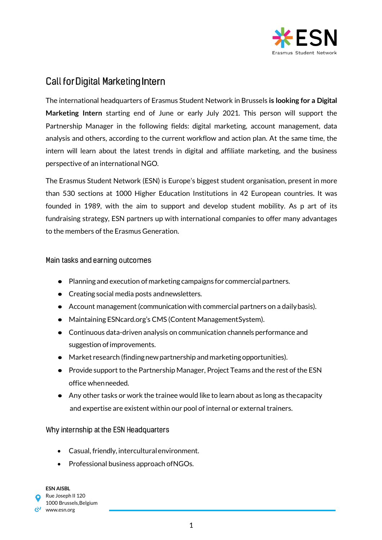

# **Call for Digital Marketing Intern**

The international headquarters of Erasmus Student Network in Brussels **is looking for a Digital Marketing Intern** starting end of June or early July 2021. This person will support the Partnership Manager in the following fields: digital marketing, account management, data analysis and others, according to the current workflow and action plan. At the same time, the intern will learn about the latest trends in digital and affiliate marketing, and the business perspective of an international NGO.

The Erasmus Student Network (ESN) is Europe's biggest student organisation, present in more than 530 sections at 1000 Higher Education Institutions in 42 European countries. It was founded in 1989, with the aim to support and develop student mobility. As p art of its fundraising strategy, ESN partners up with international companies to offer many advantages to the members of the Erasmus Generation.

### Main tasks and earning outcomes

- Planning and execution of marketing campaigns for commercial partners.
- Creating social media posts and newsletters.
- Account management (communication with commercial partners on a dailybasis).
- Maintaining ESNcard.org's CMS (Content ManagementSystem).
- Continuous data-driven analysis on communication channels performance and suggestion of improvements.
- Market research (findingnew partnership and marketing opportunities).
- Provide support to the Partnership Manager, Project Teams and the rest of the ESN office whenneeded.
- Any other tasks or work the trainee would like to learn about as long as thecapacity and expertise are existent within our pool of internal or external trainers.

## Why internship at the ESN Headquarters

- Casual, friendly, interculturalenvironment.
- Professional business approach of NGOs.

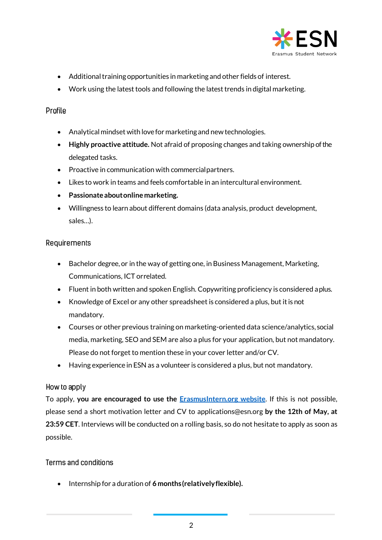

- Additional training opportunities in marketing and other fields of interest.
- Work using the latest tools and following the latest trends in digital marketing.

## Profile

- Analytical mindset with lovefor marketing and newtechnologies.
- **Highly proactive attitude.** Not afraid of proposing changes and taking ownership of the delegated tasks.
- Proactive in communication with commercial partners.
- Likes to work in teams and feels comfortable in an intercultural environment.
- **Passionateaboutonlinemarketing.**
- Willingness to learn about different domains (data analysis, product development, sales…).

# Requirements

- Bachelor degree, or in the way of getting one, in Business Management, Marketing, Communications, ICT orrelated.
- Fluent in both written and spoken English. Copywriting proficiency is considered aplus.
- Knowledge of Excel or any other spreadsheet is considered a plus, but it is not mandatory.
- Courses or other previous training on marketing-oriented data science/analytics, social media, marketing, SEO and SEM are also a plus for your application, but not mandatory. Please do not forget to mention these in your cover letter and/or CV.
- Having experience in ESN as a volunteer is considered a plus, but not mandatory.

## How to apply

To apply, **you are encouraged to use the [ErasmusIntern.org website](https://erasmusintern.org/)**. If this is not possible, please send a short motivation letter and CV to [applications@esn.org](mailto:applications@esn.org) **by the 12th of May, at 23:59 CET**. Interviews will be conducted on a rolling basis, so do not hesitate to apply as soon as possible.

## Terms and conditions

Internship for a duration of **6 months(relativelyflexible).**